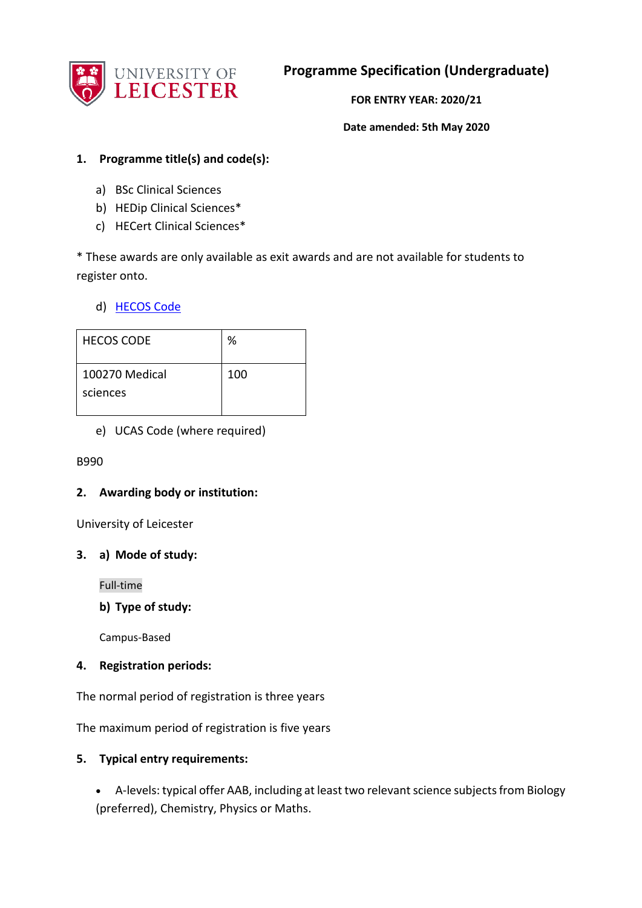

**Programme Specification (Undergraduate)**

**FOR ENTRY YEAR: 2020/21**

**Date amended: 5th May 2020**

### **1. Programme title(s) and code(s):**

- a) BSc Clinical Sciences
- b) HEDip Clinical Sciences\*
- c) HECert Clinical Sciences\*

\* These awards are only available as exit awards and are not available for students to register onto.

## d) [HECOS Code](https://www.hesa.ac.uk/innovation/hecos)

| <b>HECOS CODE</b> | %   |
|-------------------|-----|
| 100270 Medical    | 100 |
| sciences          |     |
|                   |     |

e) UCAS Code (where required)

### B990

### **2. Awarding body or institution:**

University of Leicester

### **3. a) Mode of study:**

Full-time

**b) Type of study:**

Campus-Based

### **4. Registration periods:**

The normal period of registration is three years

The maximum period of registration is five years

### **5. Typical entry requirements:**

 A-levels: typical offer AAB, including at least two relevant science subjects from Biology (preferred), Chemistry, Physics or Maths.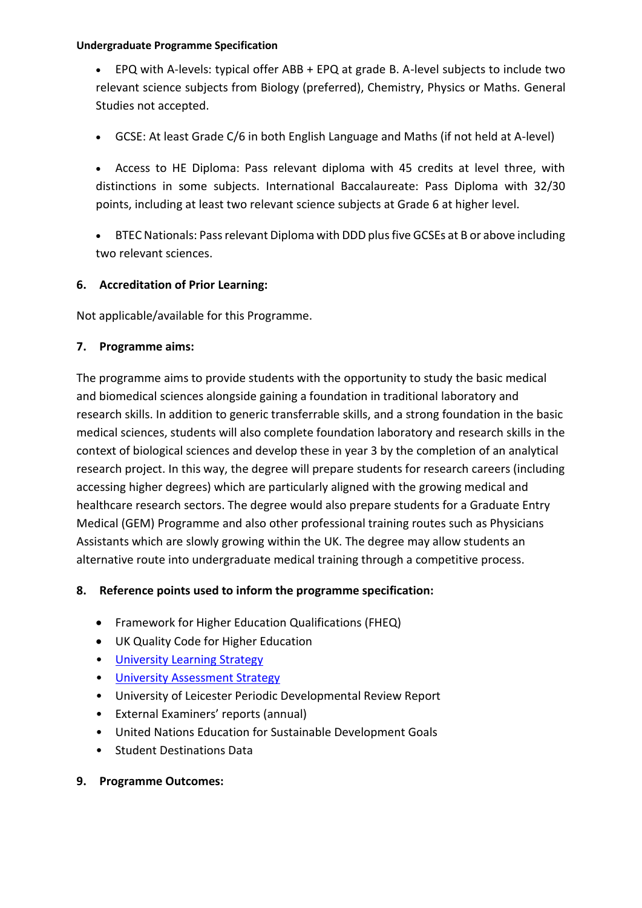EPQ with A-levels: typical offer ABB + EPQ at grade B. A-level subjects to include two relevant science subjects from Biology (preferred), Chemistry, Physics or Maths. General Studies not accepted.

GCSE: At least Grade C/6 in both English Language and Maths (if not held at A-level)

 Access to HE Diploma: Pass relevant diploma with 45 credits at level three, with distinctions in some subjects. International Baccalaureate: Pass Diploma with 32/30 points, including at least two relevant science subjects at Grade 6 at higher level.

 BTEC Nationals: Pass relevant Diploma with DDD plus five GCSEs at B or above including two relevant sciences.

### **6. Accreditation of Prior Learning:**

Not applicable/available for this Programme.

### **7. Programme aims:**

The programme aims to provide students with the opportunity to study the basic medical and biomedical sciences alongside gaining a foundation in traditional laboratory and research skills. In addition to generic transferrable skills, and a strong foundation in the basic medical sciences, students will also complete foundation laboratory and research skills in the context of biological sciences and develop these in year 3 by the completion of an analytical research project. In this way, the degree will prepare students for research careers (including accessing higher degrees) which are particularly aligned with the growing medical and healthcare research sectors. The degree would also prepare students for a Graduate Entry Medical (GEM) Programme and also other professional training routes such as Physicians Assistants which are slowly growing within the UK. The degree may allow students an alternative route into undergraduate medical training through a competitive process.

### **8. Reference points used to inform the programme specification:**

- Framework for Higher Education Qualifications (FHEQ)
- UK Quality Code for Higher Education
- University Learning [Strategy](https://www2.le.ac.uk/offices/sas2/quality/learnteach)
- [University Assessment Strategy](https://www2.le.ac.uk/offices/sas2/quality/learnteach)
- University of Leicester Periodic Developmental Review Report
- External Examiners' reports (annual)
- United Nations Education for Sustainable Development Goals
- Student Destinations Data
- **9. Programme Outcomes:**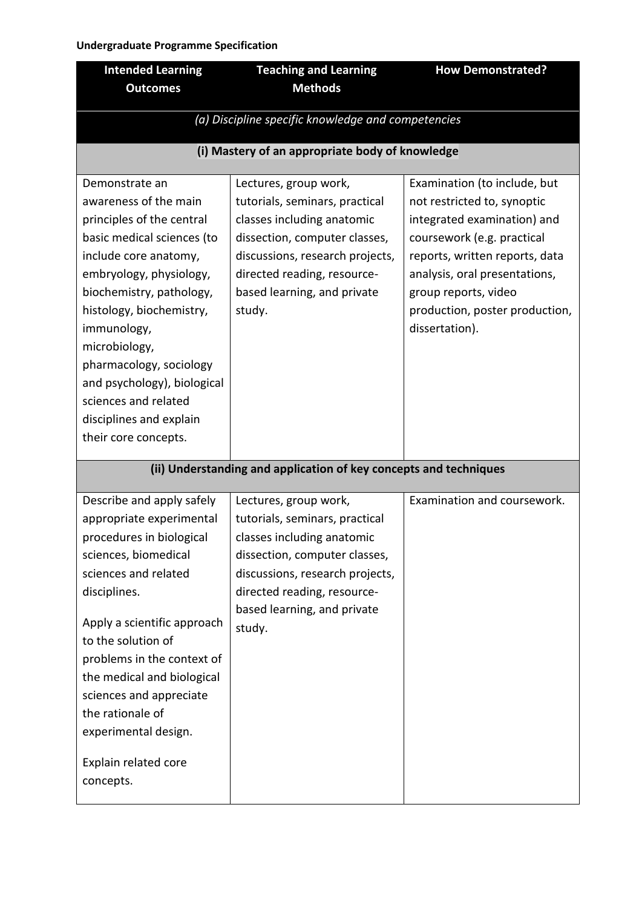| <b>Intended Learning</b>                                                                                                                                                                                                                                                                                                                                                            | <b>Teaching and Learning</b>                                                                                                                                                                                                      | <b>How Demonstrated?</b>                                                                                                                                                                                                                                                |
|-------------------------------------------------------------------------------------------------------------------------------------------------------------------------------------------------------------------------------------------------------------------------------------------------------------------------------------------------------------------------------------|-----------------------------------------------------------------------------------------------------------------------------------------------------------------------------------------------------------------------------------|-------------------------------------------------------------------------------------------------------------------------------------------------------------------------------------------------------------------------------------------------------------------------|
| <b>Outcomes</b>                                                                                                                                                                                                                                                                                                                                                                     | <b>Methods</b>                                                                                                                                                                                                                    |                                                                                                                                                                                                                                                                         |
| (a) Discipline specific knowledge and competencies                                                                                                                                                                                                                                                                                                                                  |                                                                                                                                                                                                                                   |                                                                                                                                                                                                                                                                         |
|                                                                                                                                                                                                                                                                                                                                                                                     | (i) Mastery of an appropriate body of knowledge                                                                                                                                                                                   |                                                                                                                                                                                                                                                                         |
| Demonstrate an<br>awareness of the main<br>principles of the central<br>basic medical sciences (to<br>include core anatomy,<br>embryology, physiology,<br>biochemistry, pathology,<br>histology, biochemistry,<br>immunology,<br>microbiology,<br>pharmacology, sociology<br>and psychology), biological<br>sciences and related<br>disciplines and explain<br>their core concepts. | Lectures, group work,<br>tutorials, seminars, practical<br>classes including anatomic<br>dissection, computer classes,<br>discussions, research projects,<br>directed reading, resource-<br>based learning, and private<br>study. | Examination (to include, but<br>not restricted to, synoptic<br>integrated examination) and<br>coursework (e.g. practical<br>reports, written reports, data<br>analysis, oral presentations,<br>group reports, video<br>production, poster production,<br>dissertation). |
| (ii) Understanding and application of key concepts and techniques                                                                                                                                                                                                                                                                                                                   |                                                                                                                                                                                                                                   |                                                                                                                                                                                                                                                                         |
| Describe and apply safely<br>appropriate experimental<br>procedures in biological<br>sciences, biomedical<br>sciences and related<br>disciplines.<br>Apply a scientific approach<br>to the solution of<br>problems in the context of<br>the medical and biological<br>sciences and appreciate<br>the rationale of<br>experimental design.<br>Explain related core<br>concepts.      | Lectures, group work,<br>tutorials, seminars, practical<br>classes including anatomic<br>dissection, computer classes,<br>discussions, research projects,<br>directed reading, resource-<br>based learning, and private<br>study. | Examination and coursework.                                                                                                                                                                                                                                             |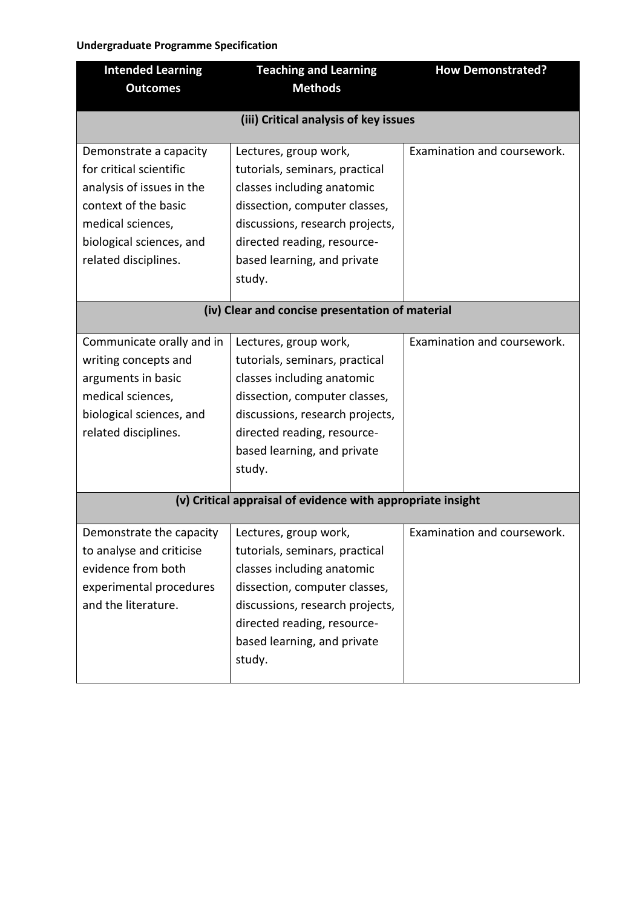| <b>Intended Learning</b>                                    | <b>Teaching and Learning</b>          | <b>How Demonstrated?</b>    |
|-------------------------------------------------------------|---------------------------------------|-----------------------------|
| <b>Outcomes</b>                                             | <b>Methods</b>                        |                             |
|                                                             | (iii) Critical analysis of key issues |                             |
|                                                             |                                       |                             |
| Demonstrate a capacity                                      | Lectures, group work,                 | Examination and coursework. |
| for critical scientific                                     | tutorials, seminars, practical        |                             |
| analysis of issues in the                                   | classes including anatomic            |                             |
| context of the basic                                        | dissection, computer classes,         |                             |
| medical sciences,                                           | discussions, research projects,       |                             |
| biological sciences, and                                    | directed reading, resource-           |                             |
| related disciplines.                                        | based learning, and private           |                             |
|                                                             | study.                                |                             |
|                                                             |                                       |                             |
| (iv) Clear and concise presentation of material             |                                       |                             |
| Communicate orally and in                                   | Lectures, group work,                 | Examination and coursework. |
| writing concepts and                                        | tutorials, seminars, practical        |                             |
| arguments in basic                                          | classes including anatomic            |                             |
| medical sciences,                                           | dissection, computer classes,         |                             |
| biological sciences, and                                    | discussions, research projects,       |                             |
| related disciplines.                                        | directed reading, resource-           |                             |
|                                                             | based learning, and private           |                             |
|                                                             | study.                                |                             |
|                                                             |                                       |                             |
| (v) Critical appraisal of evidence with appropriate insight |                                       |                             |
| Demonstrate the capacity                                    | Lectures, group work,                 | Examination and coursework. |
| to analyse and criticise                                    | tutorials, seminars, practical        |                             |
| evidence from both                                          | classes including anatomic            |                             |
| experimental procedures                                     | dissection, computer classes,         |                             |
| and the literature.                                         | discussions, research projects,       |                             |
|                                                             | directed reading, resource-           |                             |
|                                                             | based learning, and private           |                             |
|                                                             | study.                                |                             |
|                                                             |                                       |                             |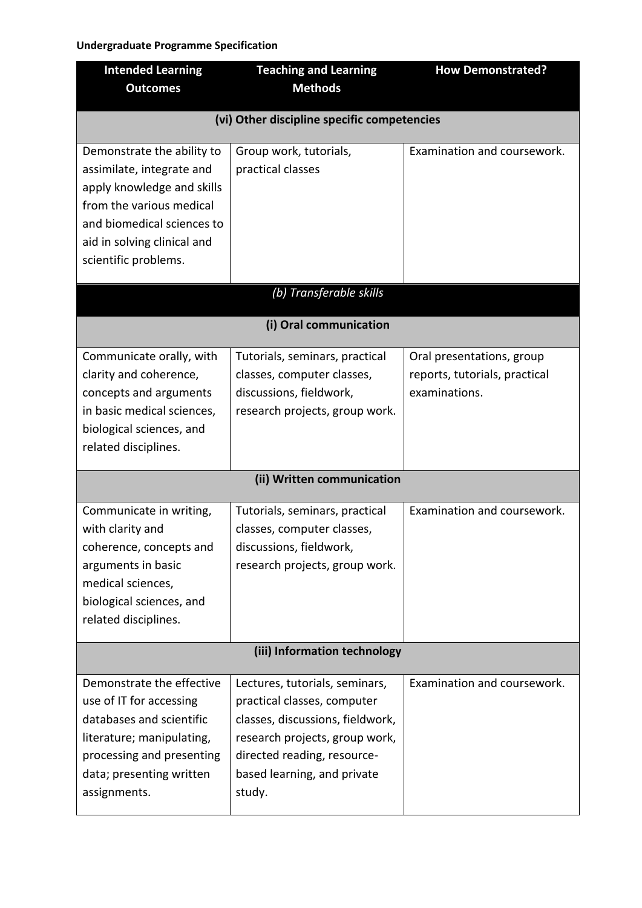| <b>Intended Learning</b>     | <b>Teaching and Learning</b>                                  | <b>How Demonstrated?</b>      |
|------------------------------|---------------------------------------------------------------|-------------------------------|
| <b>Outcomes</b>              | <b>Methods</b>                                                |                               |
|                              | (vi) Other discipline specific competencies                   |                               |
| Demonstrate the ability to   | Group work, tutorials,                                        | Examination and coursework.   |
| assimilate, integrate and    | practical classes                                             |                               |
| apply knowledge and skills   |                                                               |                               |
| from the various medical     |                                                               |                               |
| and biomedical sciences to   |                                                               |                               |
| aid in solving clinical and  |                                                               |                               |
| scientific problems.         |                                                               |                               |
|                              | (b) Transferable skills                                       |                               |
| (i) Oral communication       |                                                               |                               |
| Communicate orally, with     | Tutorials, seminars, practical                                | Oral presentations, group     |
| clarity and coherence,       | classes, computer classes,                                    | reports, tutorials, practical |
| concepts and arguments       | discussions, fieldwork,                                       | examinations.                 |
| in basic medical sciences,   | research projects, group work.                                |                               |
| biological sciences, and     |                                                               |                               |
| related disciplines.         |                                                               |                               |
| (ii) Written communication   |                                                               |                               |
| Communicate in writing,      | Tutorials, seminars, practical                                | Examination and coursework.   |
| with clarity and             | classes, computer classes,                                    |                               |
| coherence, concepts and      | discussions, fieldwork,                                       |                               |
| arguments in basic           | research projects, group work.                                |                               |
| medical sciences,            |                                                               |                               |
| biological sciences, and     |                                                               |                               |
| related disciplines.         |                                                               |                               |
| (iii) Information technology |                                                               |                               |
| Demonstrate the effective    |                                                               | Examination and coursework.   |
| use of IT for accessing      | Lectures, tutorials, seminars,<br>practical classes, computer |                               |
| databases and scientific     | classes, discussions, fieldwork,                              |                               |
| literature; manipulating,    | research projects, group work,                                |                               |
| processing and presenting    | directed reading, resource-                                   |                               |
| data; presenting written     | based learning, and private                                   |                               |
| assignments.                 | study.                                                        |                               |
|                              |                                                               |                               |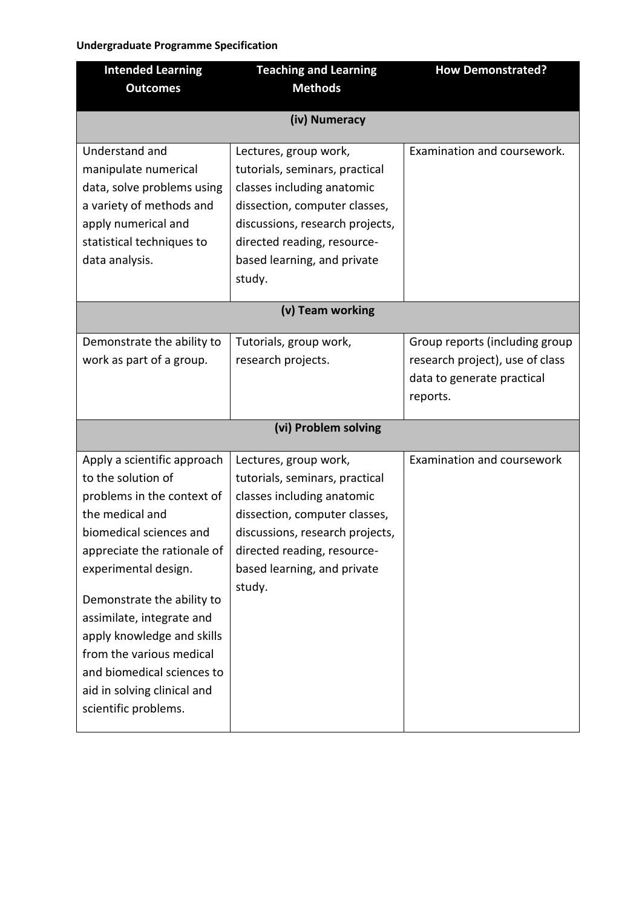| <b>Intended Learning</b>                                                                                                                                                                                                                                                                                                                                                                       | <b>Teaching and Learning</b>                                                                                                                                                                                                      | <b>How Demonstrated?</b>                                                                                    |
|------------------------------------------------------------------------------------------------------------------------------------------------------------------------------------------------------------------------------------------------------------------------------------------------------------------------------------------------------------------------------------------------|-----------------------------------------------------------------------------------------------------------------------------------------------------------------------------------------------------------------------------------|-------------------------------------------------------------------------------------------------------------|
| <b>Outcomes</b>                                                                                                                                                                                                                                                                                                                                                                                | <b>Methods</b>                                                                                                                                                                                                                    |                                                                                                             |
| (iv) Numeracy                                                                                                                                                                                                                                                                                                                                                                                  |                                                                                                                                                                                                                                   |                                                                                                             |
| Understand and<br>manipulate numerical<br>data, solve problems using<br>a variety of methods and<br>apply numerical and<br>statistical techniques to<br>data analysis.                                                                                                                                                                                                                         | Lectures, group work,<br>tutorials, seminars, practical<br>classes including anatomic<br>dissection, computer classes,<br>discussions, research projects,<br>directed reading, resource-<br>based learning, and private<br>study. | Examination and coursework.                                                                                 |
| (v) Team working                                                                                                                                                                                                                                                                                                                                                                               |                                                                                                                                                                                                                                   |                                                                                                             |
| Demonstrate the ability to<br>work as part of a group.                                                                                                                                                                                                                                                                                                                                         | Tutorials, group work,<br>research projects.                                                                                                                                                                                      | Group reports (including group<br>research project), use of class<br>data to generate practical<br>reports. |
| (vi) Problem solving                                                                                                                                                                                                                                                                                                                                                                           |                                                                                                                                                                                                                                   |                                                                                                             |
| Apply a scientific approach<br>to the solution of<br>problems in the context of<br>the medical and<br>biomedical sciences and<br>appreciate the rationale of<br>experimental design.<br>Demonstrate the ability to<br>assimilate, integrate and<br>apply knowledge and skills<br>from the various medical<br>and biomedical sciences to<br>aid in solving clinical and<br>scientific problems. | Lectures, group work,<br>tutorials, seminars, practical<br>classes including anatomic<br>dissection, computer classes,<br>discussions, research projects,<br>directed reading, resource-<br>based learning, and private<br>study. | Examination and coursework                                                                                  |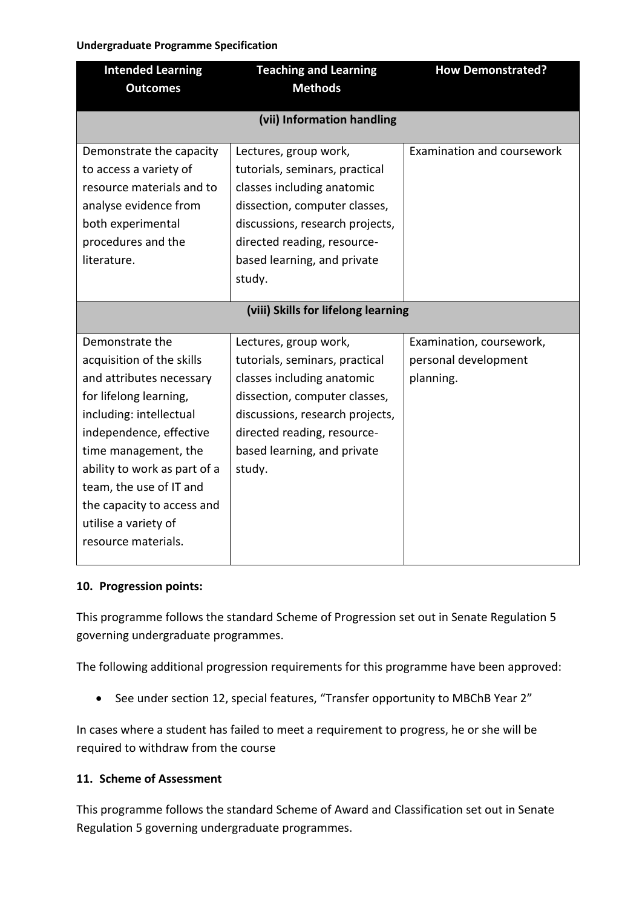| <b>Intended Learning</b><br><b>Outcomes</b> | <b>Teaching and Learning</b><br><b>Methods</b> | <b>How Demonstrated?</b>   |
|---------------------------------------------|------------------------------------------------|----------------------------|
|                                             |                                                |                            |
| (vii) Information handling                  |                                                |                            |
| Demonstrate the capacity                    | Lectures, group work,                          | Examination and coursework |
| to access a variety of                      | tutorials, seminars, practical                 |                            |
| resource materials and to                   | classes including anatomic                     |                            |
| analyse evidence from                       | dissection, computer classes,                  |                            |
| both experimental                           | discussions, research projects,                |                            |
| procedures and the                          | directed reading, resource-                    |                            |
| literature.                                 | based learning, and private                    |                            |
|                                             | study.                                         |                            |
|                                             |                                                |                            |
| (viii) Skills for lifelong learning         |                                                |                            |
| Demonstrate the                             | Lectures, group work,                          | Examination, coursework,   |
| acquisition of the skills                   | tutorials, seminars, practical                 | personal development       |
| and attributes necessary                    | classes including anatomic                     | planning.                  |
| for lifelong learning,                      | dissection, computer classes,                  |                            |
| including: intellectual                     | discussions, research projects,                |                            |
| independence, effective                     | directed reading, resource-                    |                            |
| time management, the                        | based learning, and private                    |                            |
| ability to work as part of a                | study.                                         |                            |
| team, the use of IT and                     |                                                |                            |
| the capacity to access and                  |                                                |                            |
| utilise a variety of                        |                                                |                            |
| resource materials.                         |                                                |                            |
|                                             |                                                |                            |

### **10. Progression points:**

This programme follows the standard Scheme of Progression set out in Senate Regulation 5 governing undergraduate programmes.

The following additional progression requirements for this programme have been approved:

• See under section 12, special features, "Transfer opportunity to MBChB Year 2"

In cases where a student has failed to meet a requirement to progress, he or she will be required to withdraw from the course

### **11. Scheme of Assessment**

This programme follows the standard Scheme of Award and Classification set out in Senate Regulation 5 governing undergraduate programmes.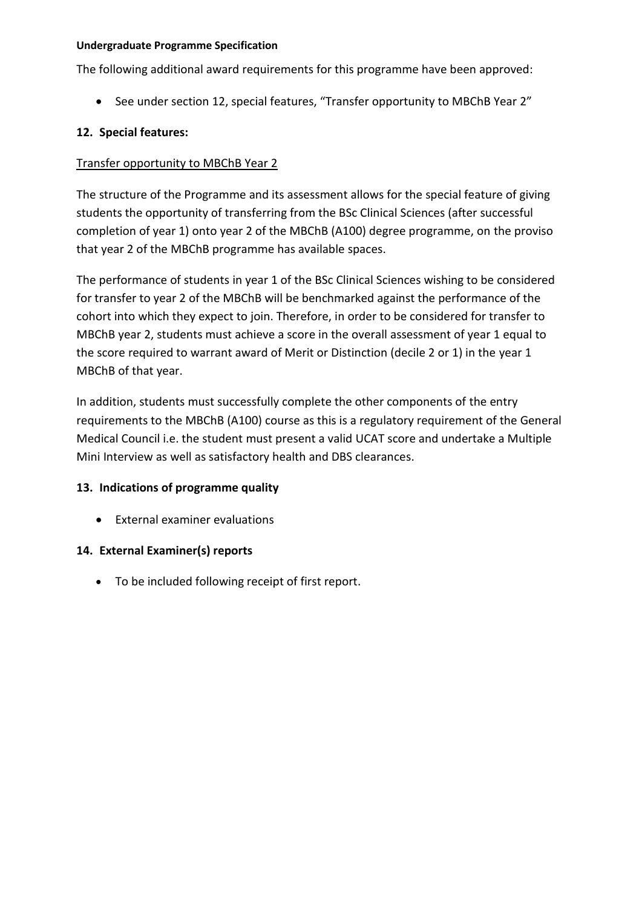The following additional award requirements for this programme have been approved:

• See under section 12, special features, "Transfer opportunity to MBChB Year 2"

## **12. Special features:**

#### Transfer opportunity to MBChB Year 2

The structure of the Programme and its assessment allows for the special feature of giving students the opportunity of transferring from the BSc Clinical Sciences (after successful completion of year 1) onto year 2 of the MBChB (A100) degree programme, on the proviso that year 2 of the MBChB programme has available spaces.

The performance of students in year 1 of the BSc Clinical Sciences wishing to be considered for transfer to year 2 of the MBChB will be benchmarked against the performance of the cohort into which they expect to join. Therefore, in order to be considered for transfer to MBChB year 2, students must achieve a score in the overall assessment of year 1 equal to the score required to warrant award of Merit or Distinction (decile 2 or 1) in the year 1 MBChB of that year.

In addition, students must successfully complete the other components of the entry requirements to the MBChB (A100) course as this is a regulatory requirement of the General Medical Council i.e. the student must present a valid UCAT score and undertake a Multiple Mini Interview as well as satisfactory health and DBS clearances.

### **13. Indications of programme quality**

External examiner evaluations

### **14. External Examiner(s) reports**

To be included following receipt of first report.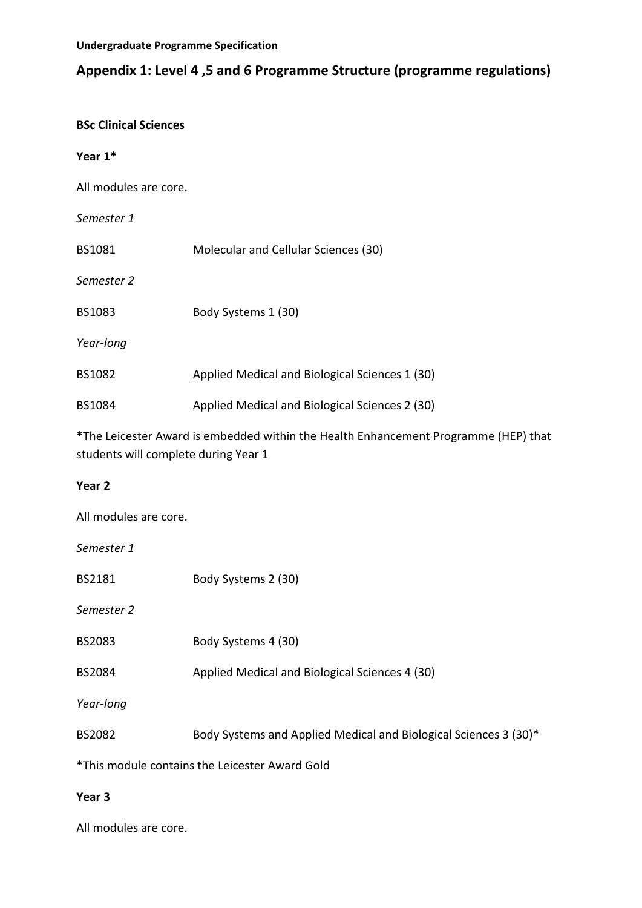# **Appendix 1: Level 4 ,5 and 6 Programme Structure (programme regulations)**

## **BSc Clinical Sciences**

#### **Year 1\***

All modules are core.

*Semester 1*

BS1081 Molecular and Cellular Sciences (30)

*Semester 2*

BS1083 Body Systems 1 (30)

*Year-long*

| BS1082 | Applied Medical and Biological Sciences 1 (30) |
|--------|------------------------------------------------|
|        |                                                |

BS1084 Applied Medical and Biological Sciences 2 (30)

\*The Leicester Award is embedded within the Health Enhancement Programme (HEP) that students will complete during Year 1

### **Year 2**

All modules are core.

*Semester 1*

BS2181 Body Systems 2 (30)

*Semester 2*

BS2083 Body Systems 4 (30)

BS2084 Applied Medical and Biological Sciences 4 (30)

*Year-long*

BS2082 Body Systems and Applied Medical and Biological Sciences 3 (30)\*

\*This module contains the Leicester Award Gold

### **Year 3**

All modules are core.